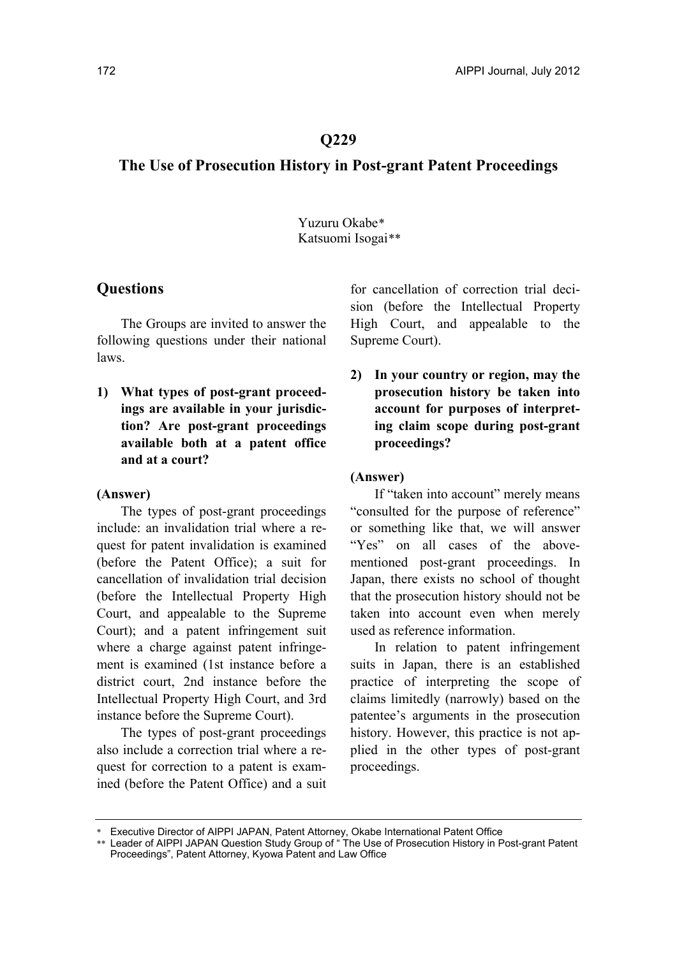## **Q229**

# **The Use of Prosecution History in Post-grant Patent Proceedings**

 Yuzuru Okabe[\\*](#page-0-0) Katsuomi Isogai[\\*\\*](#page-0-1)

# **Questions**

The Groups are invited to answer the following questions under their national laws.

**1) What types of post-grant proceedings are available in your jurisdiction? Are post-grant proceedings available both at a patent office and at a court?** 

### **(Answer)**

The types of post-grant proceedings include: an invalidation trial where a request for patent invalidation is examined (before the Patent Office); a suit for cancellation of invalidation trial decision (before the Intellectual Property High Court, and appealable to the Supreme Court); and a patent infringement suit where a charge against patent infringement is examined (1st instance before a district court, 2nd instance before the Intellectual Property High Court, and 3rd instance before the Supreme Court).

The types of post-grant proceedings also include a correction trial where a request for correction to a patent is examined (before the Patent Office) and a suit for cancellation of correction trial decision (before the Intellectual Property High Court, and appealable to the Supreme Court).

**2) In your country or region, may the prosecution history be taken into account for purposes of interpreting claim scope during post-grant proceedings?** 

#### **(Answer)**

If "taken into account" merely means "consulted for the purpose of reference" or something like that, we will answer "Yes" on all cases of the abovementioned post-grant proceedings. In Japan, there exists no school of thought that the prosecution history should not be taken into account even when merely used as reference information.

In relation to patent infringement suits in Japan, there is an established practice of interpreting the scope of claims limitedly (narrowly) based on the patentee's arguments in the prosecution history. However, this practice is not applied in the other types of post-grant proceedings.

<span id="page-0-1"></span><span id="page-0-0"></span><sup>\*</sup> Executive Director of AIPPI JAPAN, Patent Attorney, Okabe International Patent Office

<sup>\*\*</sup> Leader of AIPPI JAPAN Question Study Group of " The Use of Prosecution History in Post-grant Patent Proceedings", Patent Attorney, Kyowa Patent and Law Office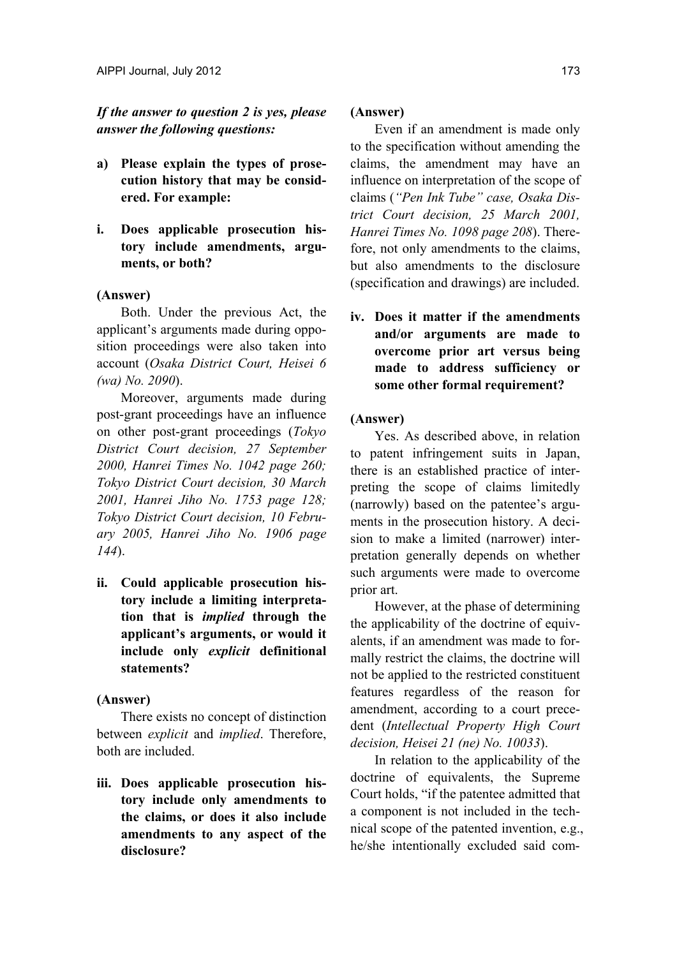*If the answer to question 2 is yes, please answer the following questions:* 

- **a) Please explain the types of prosecution history that may be considered. For example:**
- **i. Does applicable prosecution history include amendments, arguments, or both?**

## **(Answer)**

Both. Under the previous Act, the applicant's arguments made during opposition proceedings were also taken into account (*Osaka District Court, Heisei 6 (wa) No. 2090*).

Moreover, arguments made during post-grant proceedings have an influence on other post-grant proceedings (*Tokyo District Court decision, 27 September 2000, Hanrei Times No. 1042 page 260; Tokyo District Court decision, 30 March 2001, Hanrei Jiho No. 1753 page 128; Tokyo District Court decision, 10 February 2005, Hanrei Jiho No. 1906 page 144*).

**ii. Could applicable prosecution history include a limiting interpretation that is** *implied* **through the applicant's arguments, or would it include only** *explicit* **definitional statements?**

### **(Answer)**

There exists no concept of distinction between *explicit* and *implied*. Therefore, both are included.

**iii. Does applicable prosecution history include only amendments to the claims, or does it also include amendments to any aspect of the disclosure?** 

### **(Answer)**

Even if an amendment is made only to the specification without amending the claims, the amendment may have an influence on interpretation of the scope of claims (*"Pen Ink Tube" case, Osaka District Court decision, 25 March 2001, Hanrei Times No. 1098 page 208*). Therefore, not only amendments to the claims, but also amendments to the disclosure (specification and drawings) are included.

**iv. Does it matter if the amendments and/or arguments are made to overcome prior art versus being made to address sufficiency or some other formal requirement?** 

## **(Answer)**

Yes. As described above, in relation to patent infringement suits in Japan, there is an established practice of interpreting the scope of claims limitedly (narrowly) based on the patentee's arguments in the prosecution history. A decision to make a limited (narrower) interpretation generally depends on whether such arguments were made to overcome prior art.

However, at the phase of determining the applicability of the doctrine of equivalents, if an amendment was made to formally restrict the claims, the doctrine will not be applied to the restricted constituent features regardless of the reason for amendment, according to a court precedent (*Intellectual Property High Court decision, Heisei 21 (ne) No. 10033*).

In relation to the applicability of the doctrine of equivalents, the Supreme Court holds, "if the patentee admitted that a component is not included in the technical scope of the patented invention, e.g., he/she intentionally excluded said com-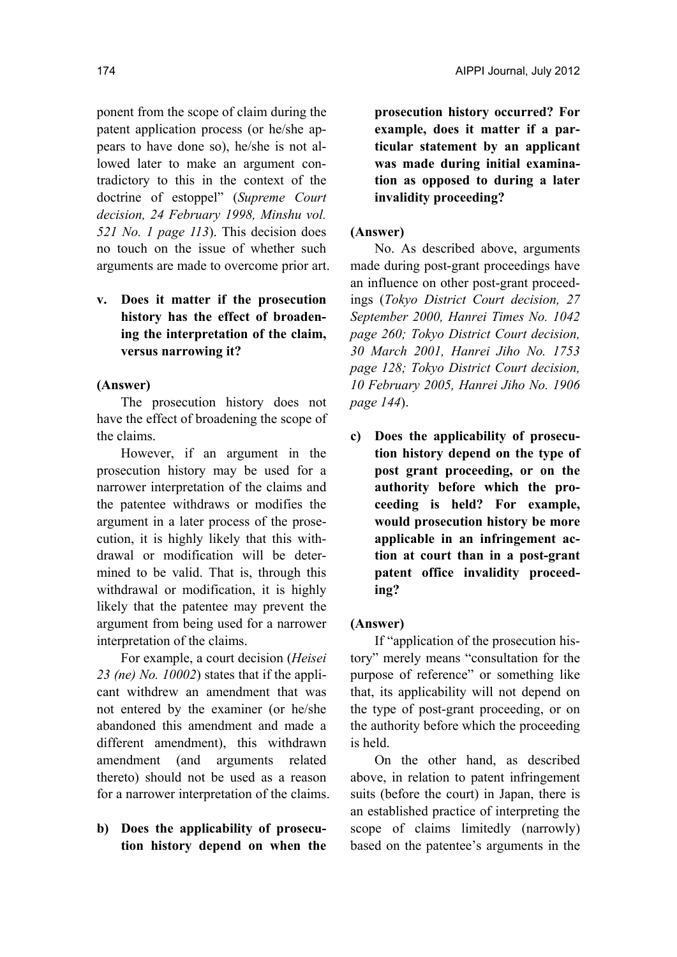ponent from the scope of claim during the patent application process (or he/she appears to have done so), he/she is not allowed later to make an argument contradictory to this in the context of the doctrine of estoppel" (*Supreme Court decision, 24 February 1998, Minshu vol. 521 No. 1 page 113*). This decision does no touch on the issue of whether such arguments are made to overcome prior art.

**v. Does it matter if the prosecution history has the effect of broadening the interpretation of the claim, versus narrowing it?** 

#### **(Answer)**

The prosecution history does not have the effect of broadening the scope of the claims.

However, if an argument in the prosecution history may be used for a narrower interpretation of the claims and the patentee withdraws or modifies the argument in a later process of the prosecution, it is highly likely that this withdrawal or modification will be determined to be valid. That is, through this withdrawal or modification, it is highly likely that the patentee may prevent the argument from being used for a narrower interpretation of the claims.

For example, a court decision (*Heisei 23 (ne) No. 10002*) states that if the applicant withdrew an amendment that was not entered by the examiner (or he/she abandoned this amendment and made a different amendment), this withdrawn amendment (and arguments related thereto) should not be used as a reason for a narrower interpretation of the claims.

# **b) Does the applicability of prosecution history depend on when the**

**prosecution history occurred? For example, does it matter if a particular statement by an applicant was made during initial examination as opposed to during a later invalidity proceeding?** 

### **(Answer)**

No. As described above, arguments made during post-grant proceedings have an influence on other post-grant proceedings (*Tokyo District Court decision, 27 September 2000, Hanrei Times No. 1042 page 260; Tokyo District Court decision, 30 March 2001, Hanrei Jiho No. 1753 page 128; Tokyo District Court decision, 10 February 2005, Hanrei Jiho No. 1906 page 144*).

**c) Does the applicability of prosecution history depend on the type of post grant proceeding, or on the authority before which the proceeding is held? For example, would prosecution history be more applicable in an infringement action at court than in a post-grant patent office invalidity proceeding?** 

#### **(Answer)**

If "application of the prosecution history" merely means "consultation for the purpose of reference" or something like that, its applicability will not depend on the type of post-grant proceeding, or on the authority before which the proceeding is held.

On the other hand, as described above, in relation to patent infringement suits (before the court) in Japan, there is an established practice of interpreting the scope of claims limitedly (narrowly) based on the patentee's arguments in the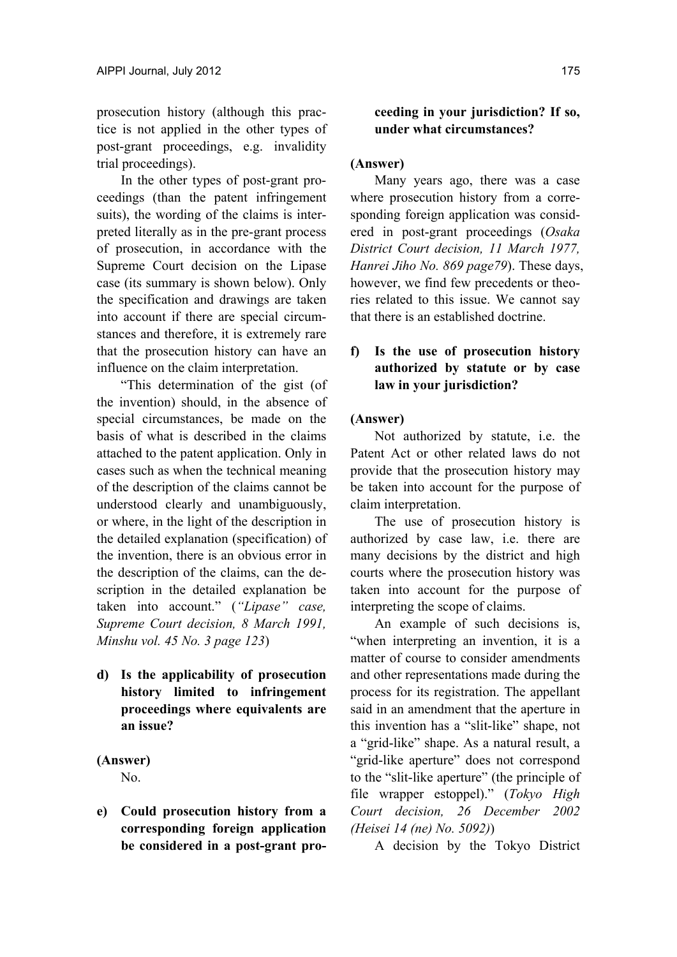prosecution history (although this practice is not applied in the other types of post-grant proceedings, e.g. invalidity trial proceedings).

In the other types of post-grant proceedings (than the patent infringement suits), the wording of the claims is interpreted literally as in the pre-grant process of prosecution, in accordance with the Supreme Court decision on the Lipase case (its summary is shown below). Only the specification and drawings are taken into account if there are special circumstances and therefore, it is extremely rare that the prosecution history can have an influence on the claim interpretation.

"This determination of the gist (of the invention) should, in the absence of special circumstances, be made on the basis of what is described in the claims attached to the patent application. Only in cases such as when the technical meaning of the description of the claims cannot be understood clearly and unambiguously, or where, in the light of the description in the detailed explanation (specification) of the invention, there is an obvious error in the description of the claims, can the description in the detailed explanation be taken into account." (*"Lipase" case, Supreme Court decision, 8 March 1991, Minshu vol. 45 No. 3 page 123*)

**d) Is the applicability of prosecution history limited to infringement proceedings where equivalents are an issue?** 

# **(Answer)**  No.

**e) Could prosecution history from a corresponding foreign application be considered in a post-grant pro-**

# **ceeding in your jurisdiction? If so, under what circumstances?**

# **(Answer)**

Many years ago, there was a case where prosecution history from a corresponding foreign application was considered in post-grant proceedings (*Osaka District Court decision, 11 March 1977, Hanrei Jiho No. 869 page79*). These days, however, we find few precedents or theories related to this issue. We cannot say that there is an established doctrine.

# **f) Is the use of prosecution history authorized by statute or by case law in your jurisdiction?**

# **(Answer)**

Not authorized by statute, i.e. the Patent Act or other related laws do not provide that the prosecution history may be taken into account for the purpose of claim interpretation.

The use of prosecution history is authorized by case law, i.e. there are many decisions by the district and high courts where the prosecution history was taken into account for the purpose of interpreting the scope of claims.

An example of such decisions is, "when interpreting an invention, it is a matter of course to consider amendments and other representations made during the process for its registration. The appellant said in an amendment that the aperture in this invention has a "slit-like" shape, not a "grid-like" shape. As a natural result, a "grid-like aperture" does not correspond to the "slit-like aperture" (the principle of file wrapper estoppel)." (*Tokyo High Court decision, 26 December 2002 (Heisei 14 (ne) No. 5092)*)

A decision by the Tokyo District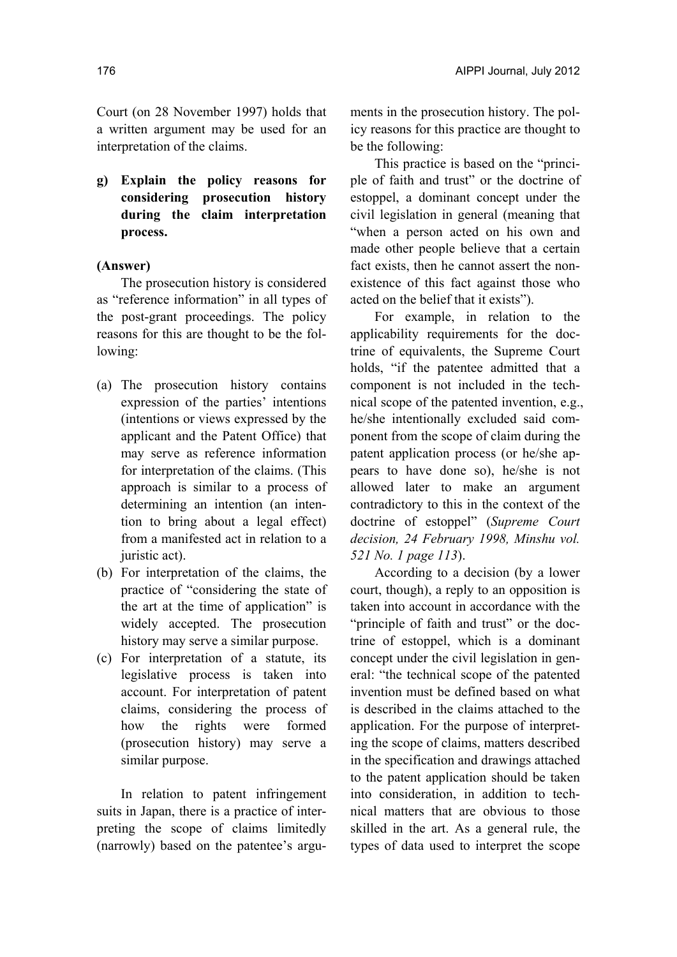Court (on 28 November 1997) holds that a written argument may be used for an interpretation of the claims.

**g) Explain the policy reasons for considering prosecution history during the claim interpretation process.** 

## **(Answer)**

The prosecution history is considered as "reference information" in all types of the post-grant proceedings. The policy reasons for this are thought to be the following:

- (a) The prosecution history contains expression of the parties' intentions (intentions or views expressed by the applicant and the Patent Office) that may serve as reference information for interpretation of the claims. (This approach is similar to a process of determining an intention (an intention to bring about a legal effect) from a manifested act in relation to a juristic act).
- (b) For interpretation of the claims, the practice of "considering the state of the art at the time of application" is widely accepted. The prosecution history may serve a similar purpose.
- (c) For interpretation of a statute, its legislative process is taken into account. For interpretation of patent claims, considering the process of how the rights were formed (prosecution history) may serve a similar purpose.

In relation to patent infringement suits in Japan, there is a practice of interpreting the scope of claims limitedly (narrowly) based on the patentee's arguments in the prosecution history. The policy reasons for this practice are thought to be the following:

This practice is based on the "principle of faith and trust" or the doctrine of estoppel, a dominant concept under the civil legislation in general (meaning that "when a person acted on his own and made other people believe that a certain fact exists, then he cannot assert the nonexistence of this fact against those who acted on the belief that it exists").

For example, in relation to the applicability requirements for the doctrine of equivalents, the Supreme Court holds, "if the patentee admitted that a component is not included in the technical scope of the patented invention, e.g., he/she intentionally excluded said component from the scope of claim during the patent application process (or he/she appears to have done so), he/she is not allowed later to make an argument contradictory to this in the context of the doctrine of estoppel" (*Supreme Court decision, 24 February 1998, Minshu vol. 521 No. 1 page 113*).

According to a decision (by a lower court, though), a reply to an opposition is taken into account in accordance with the "principle of faith and trust" or the doctrine of estoppel, which is a dominant concept under the civil legislation in general: "the technical scope of the patented invention must be defined based on what is described in the claims attached to the application. For the purpose of interpreting the scope of claims, matters described in the specification and drawings attached to the patent application should be taken into consideration, in addition to technical matters that are obvious to those skilled in the art. As a general rule, the types of data used to interpret the scope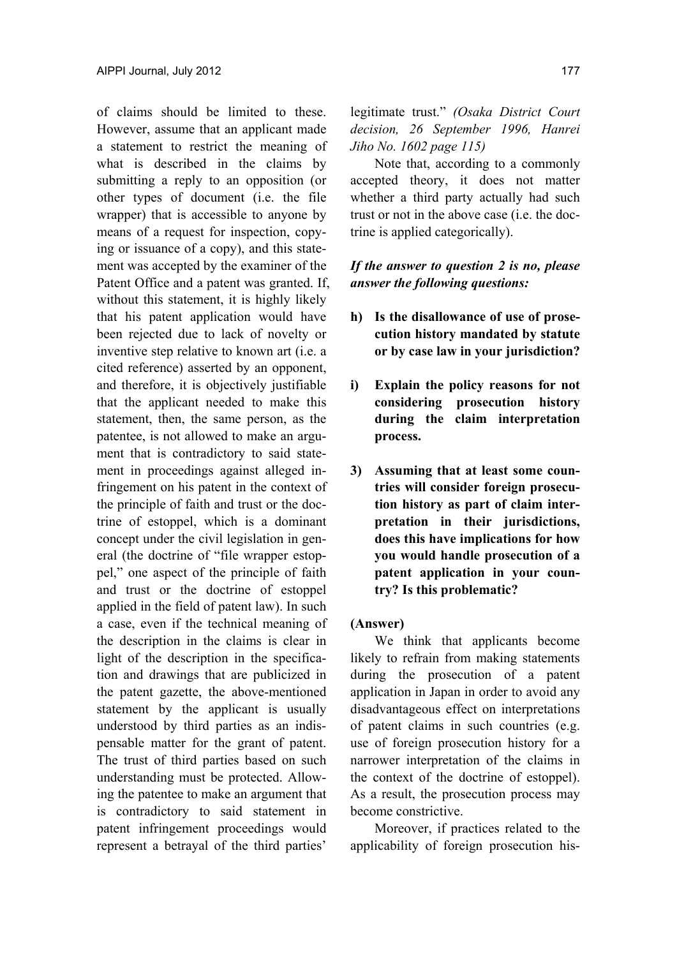of claims should be limited to these. However, assume that an applicant made a statement to restrict the meaning of what is described in the claims by submitting a reply to an opposition (or other types of document (i.e. the file wrapper) that is accessible to anyone by means of a request for inspection, copying or issuance of a copy), and this statement was accepted by the examiner of the Patent Office and a patent was granted. If, without this statement, it is highly likely that his patent application would have been rejected due to lack of novelty or inventive step relative to known art (i.e. a cited reference) asserted by an opponent, and therefore, it is objectively justifiable that the applicant needed to make this statement, then, the same person, as the patentee, is not allowed to make an argument that is contradictory to said statement in proceedings against alleged infringement on his patent in the context of the principle of faith and trust or the doctrine of estoppel, which is a dominant concept under the civil legislation in general (the doctrine of "file wrapper estoppel," one aspect of the principle of faith and trust or the doctrine of estoppel applied in the field of patent law). In such a case, even if the technical meaning of the description in the claims is clear in light of the description in the specification and drawings that are publicized in the patent gazette, the above-mentioned statement by the applicant is usually understood by third parties as an indispensable matter for the grant of patent. The trust of third parties based on such understanding must be protected. Allowing the patentee to make an argument that is contradictory to said statement in patent infringement proceedings would represent a betrayal of the third parties'

legitimate trust." *(Osaka District Court decision, 26 September 1996, Hanrei Jiho No. 1602 page 115)*

Note that, according to a commonly accepted theory, it does not matter whether a third party actually had such trust or not in the above case (i.e. the doctrine is applied categorically).

# *If the answer to question 2 is no, please answer the following questions:*

- **h) Is the disallowance of use of prosecution history mandated by statute or by case law in your jurisdiction?**
- **i) Explain the policy reasons for not considering prosecution history during the claim interpretation process.**
- **3) Assuming that at least some countries will consider foreign prosecution history as part of claim interpretation in their jurisdictions, does this have implications for how you would handle prosecution of a patent application in your country? Is this problematic?**

### **(Answer)**

We think that applicants become likely to refrain from making statements during the prosecution of a patent application in Japan in order to avoid any disadvantageous effect on interpretations of patent claims in such countries (e.g. use of foreign prosecution history for a narrower interpretation of the claims in the context of the doctrine of estoppel). As a result, the prosecution process may become constrictive.

Moreover, if practices related to the applicability of foreign prosecution his-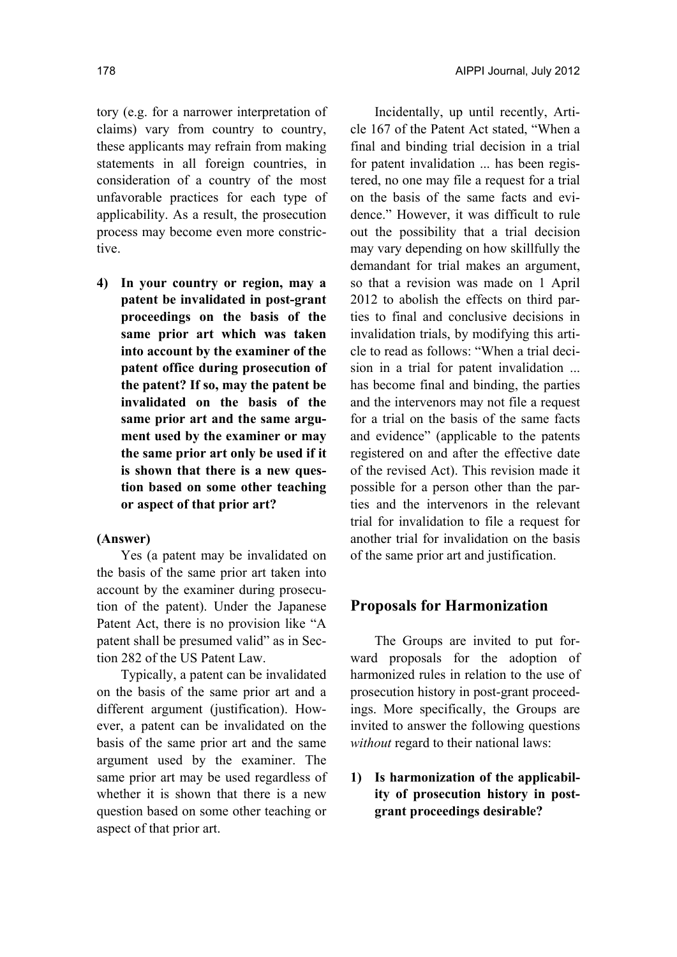tory (e.g. for a narrower interpretation of claims) vary from country to country, these applicants may refrain from making statements in all foreign countries, in consideration of a country of the most unfavorable practices for each type of applicability. As a result, the prosecution process may become even more constrictive.

**4) In your country or region, may a patent be invalidated in post-grant proceedings on the basis of the same prior art which was taken into account by the examiner of the patent office during prosecution of the patent? If so, may the patent be invalidated on the basis of the same prior art and the same argument used by the examiner or may the same prior art only be used if it is shown that there is a new question based on some other teaching or aspect of that prior art?** 

### **(Answer)**

Yes (a patent may be invalidated on the basis of the same prior art taken into account by the examiner during prosecution of the patent). Under the Japanese Patent Act, there is no provision like "A patent shall be presumed valid" as in Section 282 of the US Patent Law.

Typically, a patent can be invalidated on the basis of the same prior art and a different argument (justification). However, a patent can be invalidated on the basis of the same prior art and the same argument used by the examiner. The same prior art may be used regardless of whether it is shown that there is a new question based on some other teaching or aspect of that prior art.

Incidentally, up until recently, Article 167 of the Patent Act stated, "When a final and binding trial decision in a trial for patent invalidation ... has been registered, no one may file a request for a trial on the basis of the same facts and evidence." However, it was difficult to rule out the possibility that a trial decision may vary depending on how skillfully the demandant for trial makes an argument, so that a revision was made on 1 April 2012 to abolish the effects on third parties to final and conclusive decisions in invalidation trials, by modifying this article to read as follows: "When a trial decision in a trial for patent invalidation ... has become final and binding, the parties and the intervenors may not file a request for a trial on the basis of the same facts and evidence" (applicable to the patents registered on and after the effective date of the revised Act). This revision made it possible for a person other than the parties and the intervenors in the relevant trial for invalidation to file a request for another trial for invalidation on the basis of the same prior art and justification.

## **Proposals for Harmonization**

The Groups are invited to put forward proposals for the adoption of harmonized rules in relation to the use of prosecution history in post-grant proceedings. More specifically, the Groups are invited to answer the following questions *without* regard to their national laws:

**1) Is harmonization of the applicability of prosecution history in postgrant proceedings desirable?**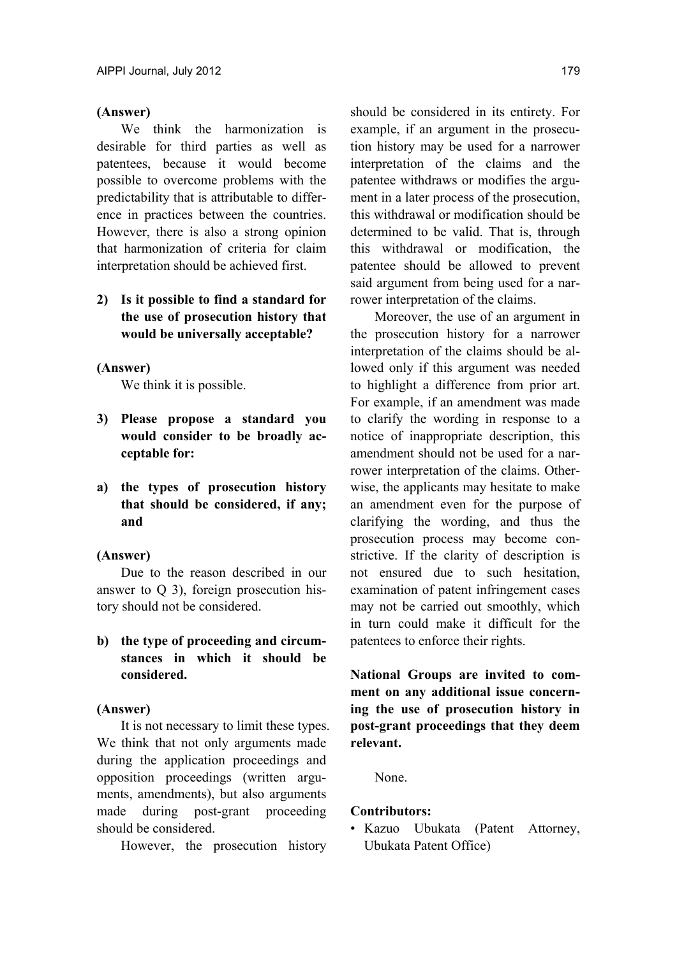### **(Answer)**

We think the harmonization is desirable for third parties as well as patentees, because it would become possible to overcome problems with the predictability that is attributable to difference in practices between the countries. However, there is also a strong opinion that harmonization of criteria for claim interpretation should be achieved first.

**2) Is it possible to find a standard for the use of prosecution history that would be universally acceptable?** 

## **(Answer)**

We think it is possible.

- **3) Please propose a standard you would consider to be broadly acceptable for:**
- **a) the types of prosecution history that should be considered, if any; and**

## **(Answer)**

Due to the reason described in our answer to Q 3), foreign prosecution history should not be considered.

**b) the type of proceeding and circumstances in which it should be considered.** 

### **(Answer)**

It is not necessary to limit these types. We think that not only arguments made during the application proceedings and opposition proceedings (written arguments, amendments), but also arguments made during post-grant proceeding should be considered.

However, the prosecution history

should be considered in its entirety. For example, if an argument in the prosecution history may be used for a narrower interpretation of the claims and the patentee withdraws or modifies the argument in a later process of the prosecution, this withdrawal or modification should be determined to be valid. That is, through this withdrawal or modification, the patentee should be allowed to prevent said argument from being used for a narrower interpretation of the claims.

Moreover, the use of an argument in the prosecution history for a narrower interpretation of the claims should be allowed only if this argument was needed to highlight a difference from prior art. For example, if an amendment was made to clarify the wording in response to a notice of inappropriate description, this amendment should not be used for a narrower interpretation of the claims. Otherwise, the applicants may hesitate to make an amendment even for the purpose of clarifying the wording, and thus the prosecution process may become constrictive. If the clarity of description is not ensured due to such hesitation, examination of patent infringement cases may not be carried out smoothly, which in turn could make it difficult for the patentees to enforce their rights.

**National Groups are invited to comment on any additional issue concerning the use of prosecution history in post-grant proceedings that they deem relevant.** 

None.

### **Contributors:**

• Kazuo Ubukata (Patent Attorney, Ubukata Patent Office)